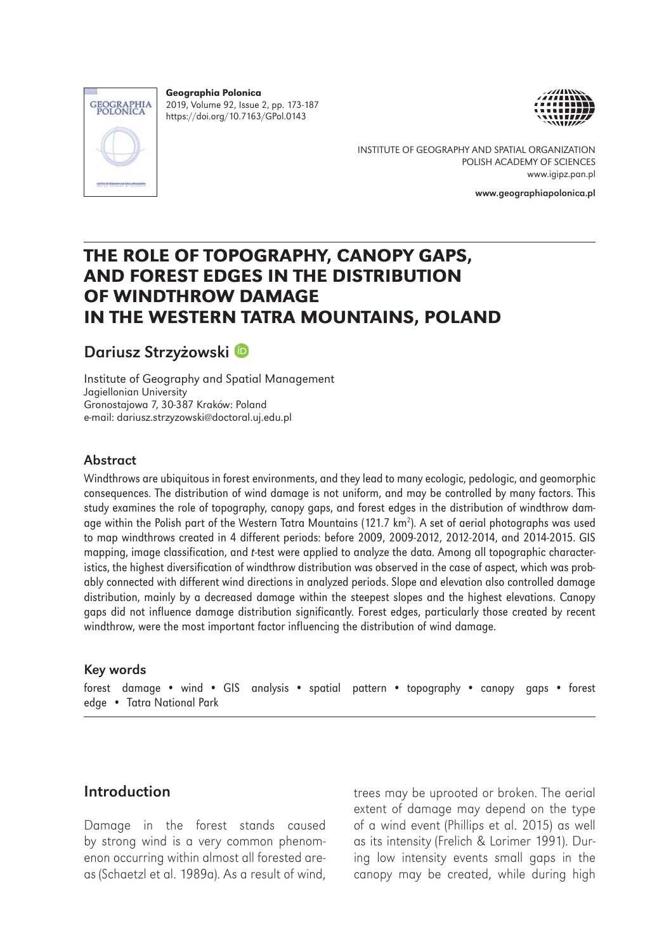

Geographia Polonica 2019, Volume 92, Issue 2, pp. 173-187 https://doi.org/10.7163/GPol.0143





INSTITUTE OF GEOGRAPHY AND SPATIAL ORGANIZATION POLISH ACADEMY OF SCIENCES www.igipz.pan.pl

www.geographiapolonica.pl

# THE ROLE OF TOPOGRAPHY, CANOPY GAPS, AND FOREST EDGES IN THE DISTRIBUTION OF WINDTHROW DAMAGE IN THE WESTERN TATRA MOUNTAINS, POLAND

# Dariusz Strzyżowski

Institute of Geography and Spatial Management Jagiellonian University Gronostajowa 7, 30-387 Kraków: Poland e-mail: dariusz.strzyzowski@doctoral.uj.edu.pl

### Abstract

Windthrows are ubiquitous in forest environments, and they lead to many ecologic, pedologic, and geomorphic consequences. The distribution of wind damage is not uniform, and may be controlled by many factors. This study examines the role of topography, canopy gaps, and forest edges in the distribution of windthrow damage within the Polish part of the Western Tatra Mountains (121.7 km<sup>2</sup>). A set of aerial photographs was used to map windthrows created in 4 different periods: before 2009, 2009-2012, 2012-2014, and 2014-2015. GIS mapping, image classification, and *t*-test were applied to analyze the data. Among all topographic characteristics, the highest diversification of windthrow distribution was observed in the case of aspect, which was probably connected with different wind directions in analyzed periods. Slope and elevation also controlled damage distribution, mainly by a decreased damage within the steepest slopes and the highest elevations. Canopy gaps did not influence damage distribution significantly. Forest edges, particularly those created by recent windthrow, were the most important factor influencing the distribution of wind damage.

#### Key words

forest damage • wind • GIS analysis • spatial pattern • topography • canopy gaps • forest edge • Tatra National Park

### Introduction

Damage in the forest stands caused by strong wind is a very common phenomenon occurring within almost all forested areas (Schaetzl et al. 1989a). As a result of wind, trees may be uprooted or broken. The aerial extent of damage may depend on the type of a wind event (Phillips et al. 2015) as well as its intensity (Frelich & Lorimer 1991). During low intensity events small gaps in the canopy may be created, while during high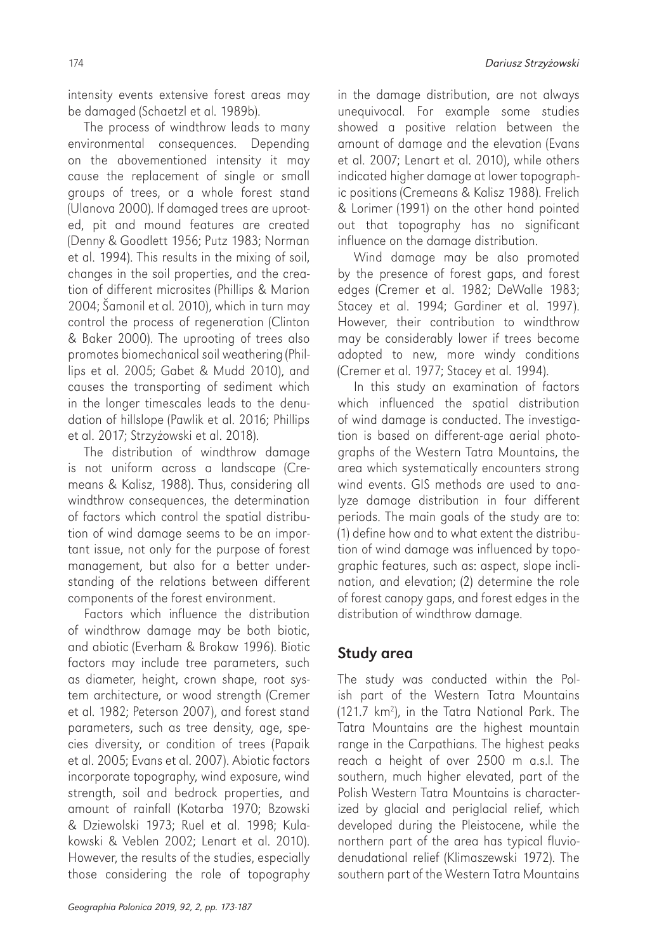intensity events extensive forest areas may be damaged (Schaetzl et al. 1989b).

The process of windthrow leads to many environmental consequences. Depending on the abovementioned intensity it may cause the replacement of single or small groups of trees, or a whole forest stand (Ulanova 2000). If damaged trees are uprooted, pit and mound features are created (Denny & Goodlett 1956; Putz 1983; Norman et al. 1994). This results in the mixing of soil, changes in the soil properties, and the creation of different microsites (Phillips & Marion 2004; Šamonil et al. 2010), which in turn may control the process of regeneration (Clinton & Baker 2000). The uprooting of trees also promotes biomechanical soil weathering (Phillips et al. 2005; Gabet & Mudd 2010), and causes the transporting of sediment which in the longer timescales leads to the denudation of hillslope (Pawlik et al. 2016; Phillips et al. 2017; Strzyżowski et al. 2018).

The distribution of windthrow damage is not uniform across a landscape (Cremeans & Kalisz, 1988). Thus, considering all windthrow consequences, the determination of factors which control the spatial distribution of wind damage seems to be an important issue, not only for the purpose of forest management, but also for a better understanding of the relations between different components of the forest environment.

Factors which influence the distribution of windthrow damage may be both biotic, and abiotic (Everham & Brokaw 1996). Biotic factors may include tree parameters, such as diameter, height, crown shape, root system architecture, or wood strength (Cremer et al. 1982; Peterson 2007), and forest stand parameters, such as tree density, age, species diversity, or condition of trees (Papaik et al. 2005; Evans et al. 2007). Abiotic factors incorporate topography, wind exposure, wind strength, soil and bedrock properties, and amount of rainfall (Kotarba 1970; Bzowski & Dziewolski 1973; Ruel et al. 1998; Kulakowski & Veblen 2002; Lenart et al. 2010). However, the results of the studies, especially those considering the role of topography

*Geographia Polonica 2019, 92, 2, pp. 173-187*

in the damage distribution, are not always unequivocal. For example some studies showed a positive relation between the amount of damage and the elevation (Evans et al. 2007; Lenart et al. 2010), while others indicated higher damage at lower topographic positions (Cremeans & Kalisz 1988). Frelich & Lorimer (1991) on the other hand pointed out that topography has no significant influence on the damage distribution.

Wind damage may be also promoted by the presence of forest gaps, and forest edges (Cremer et al. 1982; DeWalle 1983; Stacey et al. 1994; Gardiner et al. 1997). However, their contribution to windthrow may be considerably lower if trees become adopted to new, more windy conditions (Cremer et al. 1977; Stacey et al. 1994).

In this study an examination of factors which influenced the spatial distribution of wind damage is conducted. The investigation is based on different-age aerial photographs of the Western Tatra Mountains, the area which systematically encounters strong wind events. GIS methods are used to analyze damage distribution in four different periods. The main goals of the study are to: (1) define how and to what extent the distribution of wind damage was influenced by topographic features, such as: aspect, slope inclination, and elevation; (2) determine the role of forest canopy gaps, and forest edges in the distribution of windthrow damage.

# Study area

The study was conducted within the Polish part of the Western Tatra Mountains (121.7 km<sup>2</sup>), in the Tatra National Park. The Tatra Mountains are the highest mountain range in the Carpathians. The highest peaks reach a height of over 2500 m a.s.l. The southern, much higher elevated, part of the Polish Western Tatra Mountains is characterized by glacial and periglacial relief, which developed during the Pleistocene, while the northern part of the area has typical fluviodenudational relief (Klimaszewski 1972). The southern part of the Western Tatra Mountains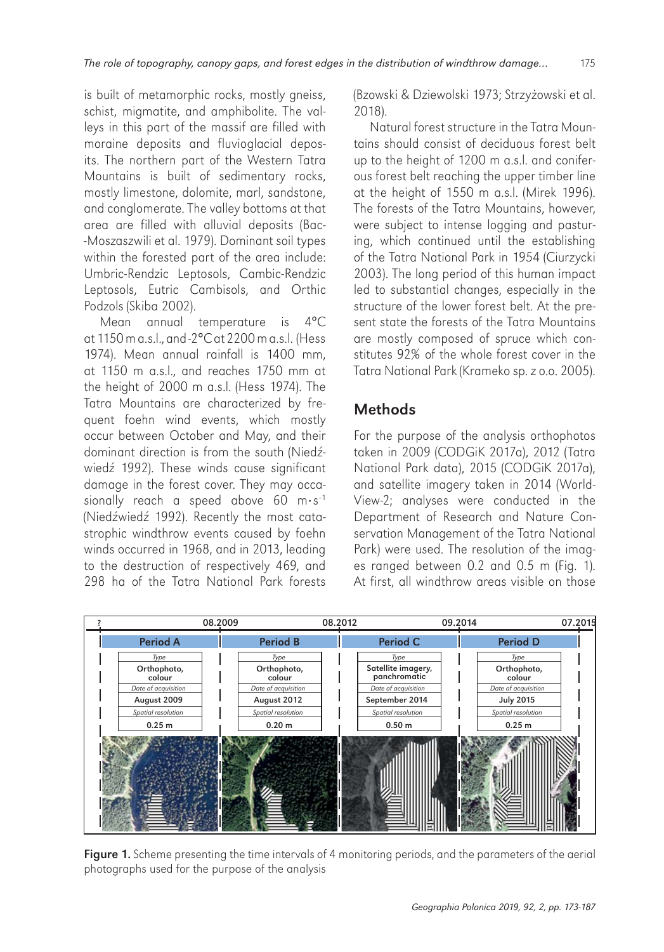is built of metamorphic rocks, mostly gneiss, schist, migmatite, and amphibolite. The valleys in this part of the massif are filled with moraine deposits and fluvioglacial deposits. The northern part of the Western Tatra Mountains is built of sedimentary rocks, mostly limestone, dolomite, marl, sandstone, and conglomerate. The valley bottoms at that area are filled with alluvial deposits (Bac- -Moszaszwili et al. 1979). Dominant soil types within the forested part of the area include: Umbric-Rendzic Leptosols, Cambic-Rendzic Leptosols, Eutric Cambisols, and Orthic Podzols (Skiba 2002).

Mean annual temperature is 4°C at 1150 m a.s.l., and -2°C at 2200 m a.s.l. (Hess 1974). Mean annual rainfall is 1400 mm, at 1150 m a.s.l., and reaches 1750 mm at the height of 2000 m a.s.l. (Hess 1974). The Tatra Mountains are characterized by frequent foehn wind events, which mostly occur between October and May, and their dominant direction is from the south (Niedźwiedź 1992). These winds cause significant damage in the forest cover. They may occasionally reach a speed above  $60 \text{ m} \cdot \text{s}^{-1}$ (Niedźwiedź 1992). Recently the most catastrophic windthrow events caused by foehn winds occurred in 1968, and in 2013, leading to the destruction of respectively 469, and 298 ha of the Tatra National Park forests

(Bzowski & Dziewolski 1973; Strzyżowski et al. 2018).

Natural forest structure in the Tatra Mountains should consist of deciduous forest belt up to the height of 1200 m a.s.l. and coniferous forest belt reaching the upper timber line at the height of 1550 m a.s.l. (Mirek 1996). The forests of the Tatra Mountains, however, were subject to intense logging and pasturing, which continued until the establishing of the Tatra National Park in 1954 (Ciurzycki 2003). The long period of this human impact led to substantial changes, especially in the structure of the lower forest belt. At the present state the forests of the Tatra Mountains are mostly composed of spruce which constitutes 92% of the whole forest cover in the Tatra National Park (Krameko sp. z o.o. 2005).

# **Methods**

For the purpose of the analysis orthophotos taken in 2009 (CODGiK 2017a), 2012 (Tatra National Park data), 2015 (CODGiK 2017a), and satellite imagery taken in 2014 (World-View-2; analyses were conducted in the Department of Research and Nature Conservation Management of the Tatra National Park) were used. The resolution of the images ranged between 0.2 and 0.5 m (Fig. 1). At first, all windthrow areas visible on those



Figure 1. Scheme presenting the time intervals of 4 monitoring periods, and the parameters of the aerial photographs used for the purpose of the analysis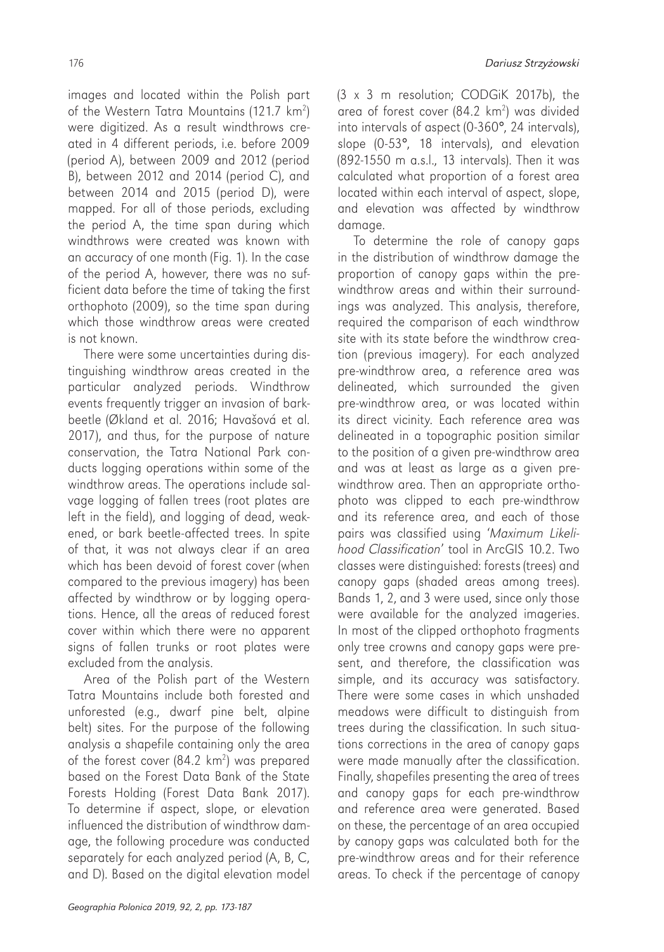images and located within the Polish part of the Western Tatra Mountains (121.7 km<sup>2</sup>) were digitized. As a result windthrows created in 4 different periods, i.e. before 2009 (period A), between 2009 and 2012 (period B), between 2012 and 2014 (period C), and between 2014 and 2015 (period D), were mapped. For all of those periods, excluding the period A, the time span during which windthrows were created was known with an accuracy of one month (Fig. 1). In the case of the period A, however, there was no sufficient data before the time of taking the first orthophoto (2009), so the time span during which those windthrow areas were created is not known.

There were some uncertainties during distinguishing windthrow areas created in the particular analyzed periods. Windthrow events frequently trigger an invasion of barkbeetle (Økland et al. 2016; Havašová et al. 2017), and thus, for the purpose of nature conservation, the Tatra National Park conducts logging operations within some of the windthrow areas. The operations include salvage logging of fallen trees (root plates are left in the field), and logging of dead, weakened, or bark beetle-affected trees. In spite of that, it was not always clear if an area which has been devoid of forest cover (when compared to the previous imagery) has been affected by windthrow or by logging operations. Hence, all the areas of reduced forest cover within which there were no apparent signs of fallen trunks or root plates were excluded from the analysis.

Area of the Polish part of the Western Tatra Mountains include both forested and unforested (e.g., dwarf pine belt, alpine belt) sites. For the purpose of the following analysis a shapefile containing only the area of the forest cover  $(84.2 \text{ km}^2)$  was prepared based on the Forest Data Bank of the State Forests Holding (Forest Data Bank 2017). To determine if aspect, slope, or elevation influenced the distribution of windthrow damage, the following procedure was conducted separately for each analyzed period (A, B, C, and D). Based on the digital elevation model

(3 x 3 m resolution; CODGiK 2017b), the area of forest cover (84.2 km<sup>2</sup>) was divided into intervals of aspect (0-360°, 24 intervals), slope (0-53°, 18 intervals), and elevation (892-1550 m a.s.l., 13 intervals). Then it was calculated what proportion of a forest area located within each interval of aspect, slope, and elevation was affected by windthrow damage.

To determine the role of canopy gaps in the distribution of windthrow damage the proportion of canopy gaps within the prewindthrow areas and within their surroundings was analyzed. This analysis, therefore, required the comparison of each windthrow site with its state before the windthrow creation (previous imagery). For each analyzed pre-windthrow area, a reference area was delineated, which surrounded the given pre-windthrow area, or was located within its direct vicinity. Each reference area was delineated in a topographic position similar to the position of a given pre-windthrow area and was at least as large as a given prewindthrow area. Then an appropriate orthophoto was clipped to each pre-windthrow and its reference area, and each of those pairs was classified using '*Maximum Likelihood Classification*' tool in ArcGIS 10.2. Two classes were distinguished: forests (trees) and canopy gaps (shaded areas among trees). Bands 1, 2, and 3 were used, since only those were available for the analyzed imageries. In most of the clipped orthophoto fragments only tree crowns and canopy gaps were present, and therefore, the classification was simple, and its accuracy was satisfactory. There were some cases in which unshaded meadows were difficult to distinguish from trees during the classification. In such situations corrections in the area of canopy gaps were made manually after the classification. Finally, shapefiles presenting the area of trees and canopy gaps for each pre-windthrow and reference area were generated. Based on these, the percentage of an area occupied by canopy gaps was calculated both for the pre-windthrow areas and for their reference areas. To check if the percentage of canopy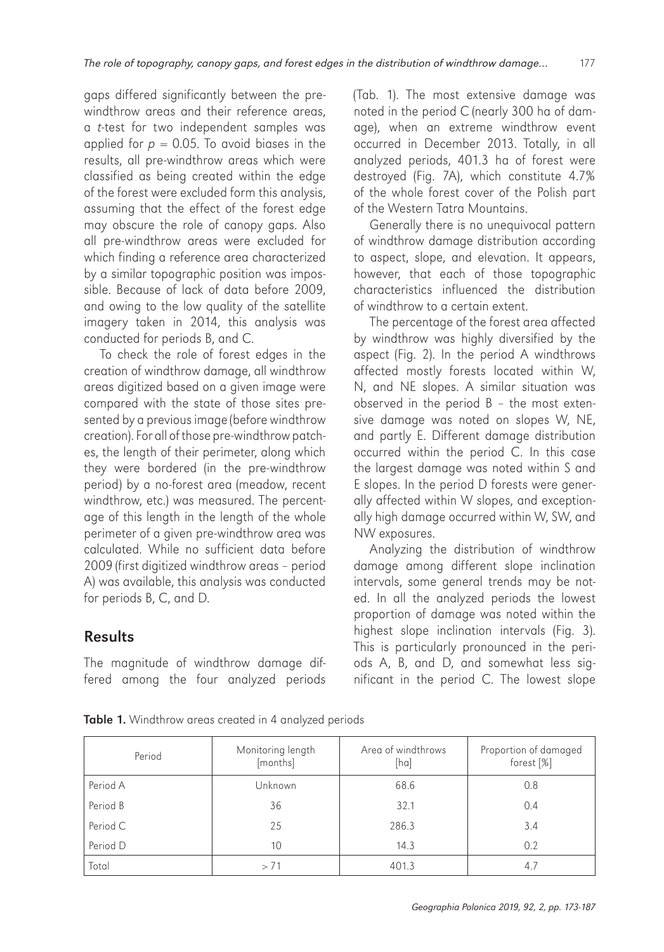gaps differed significantly between the prewindthrow areas and their reference areas, a *t*-test for two independent samples was applied for  $p = 0.05$ . To avoid biases in the results, all pre-windthrow areas which were classified as being created within the edge of the forest were excluded form this analysis, assuming that the effect of the forest edge may obscure the role of canopy gaps. Also all pre-windthrow areas were excluded for which finding a reference area characterized by a similar topographic position was impossible. Because of lack of data before 2009, and owing to the low quality of the satellite imagery taken in 2014, this analysis was conducted for periods B, and C.

To check the role of forest edges in the creation of windthrow damage, all windthrow areas digitized based on a given image were compared with the state of those sites presented by a previous image (before windthrow creation). For all of those pre-windthrow patches, the length of their perimeter, along which they were bordered (in the pre-windthrow period) by a no-forest area (meadow, recent windthrow, etc.) was measured. The percentage of this length in the length of the whole perimeter of a given pre-windthrow area was calculated. While no sufficient data before 2009 (first digitized windthrow areas – period A) was available, this analysis was conducted for periods B, C, and D.

# Results

The magnitude of windthrow damage differed among the four analyzed periods (Tab. 1). The most extensive damage was noted in the period C (nearly 300 ha of damage), when an extreme windthrow event occurred in December 2013. Totally, in all analyzed periods, 401.3 ha of forest were destroyed (Fig. 7A), which constitute 4.7% of the whole forest cover of the Polish part of the Western Tatra Mountains.

Generally there is no unequivocal pattern of windthrow damage distribution according to aspect, slope, and elevation. It appears, however, that each of those topographic characteristics influenced the distribution of windthrow to a certain extent.

The percentage of the forest area affected by windthrow was highly diversified by the aspect (Fig. 2). In the period A windthrows affected mostly forests located within W, N, and NE slopes. A similar situation was observed in the period B – the most extensive damage was noted on slopes W, NE, and partly E. Different damage distribution occurred within the period C. In this case the largest damage was noted within S and E slopes. In the period D forests were generally affected within W slopes, and exceptionally high damage occurred within W, SW, and NW exposures.

Analyzing the distribution of windthrow damage among different slope inclination intervals, some general trends may be noted. In all the analyzed periods the lowest proportion of damage was noted within the highest slope inclination intervals (Fig. 3). This is particularly pronounced in the periods A, B, and D, and somewhat less significant in the period C. The lowest slope

|  |  |  | Table 1. Windthrow areas created in 4 analyzed periods |  |  |  |  |  |  |
|--|--|--|--------------------------------------------------------|--|--|--|--|--|--|
|--|--|--|--------------------------------------------------------|--|--|--|--|--|--|

| Period   | Monitoring length<br>[months] | Area of windthrows<br>[ha] | Proportion of damaged<br>forest $[\%]$ |
|----------|-------------------------------|----------------------------|----------------------------------------|
| Period A | Unknown                       | 68.6                       | 0.8                                    |
| Period B | 36                            | 32.1                       | 0.4                                    |
| Period C | 25                            | 286.3                      | 3.4                                    |
| Period D | 10                            | 14.3                       | 0.2                                    |
| Total    | > 71                          | 401.3                      | 4.7                                    |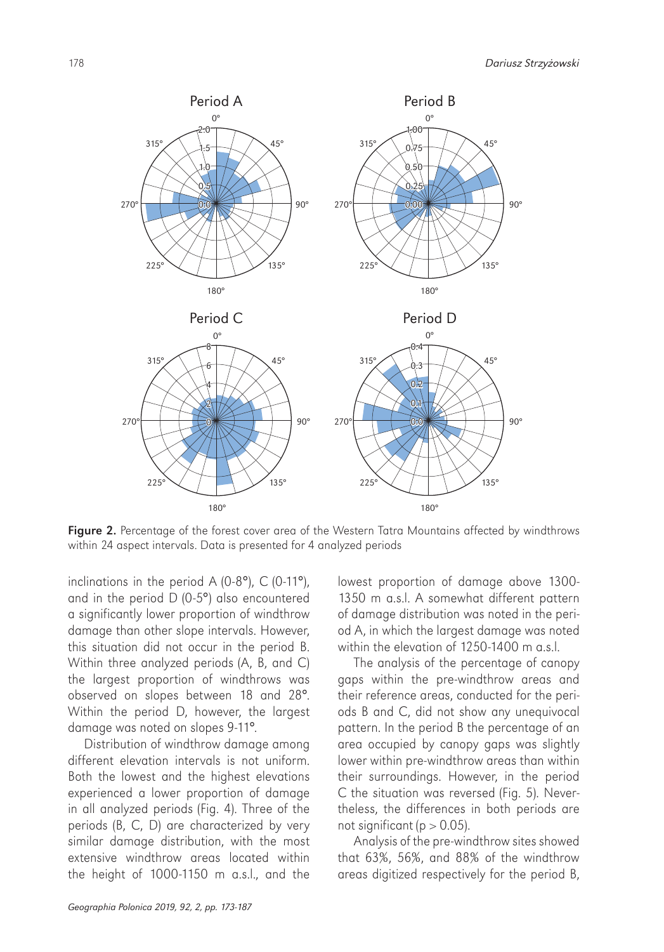

Figure 2. Percentage of the forest cover area of the Western Tatra Mountains affected by windthrows within 24 aspect intervals. Data is presented for 4 analyzed periods

inclinations in the period A (0-8°), C (0-11°), and in the period D (0-5°) also encountered a significantly lower proportion of windthrow damage than other slope intervals. However, this situation did not occur in the period B. Within three analyzed periods (A, B, and C) the largest proportion of windthrows was observed on slopes between 18 and 28°. Within the period D, however, the largest damage was noted on slopes 9-11°.

Distribution of windthrow damage among different elevation intervals is not uniform. Both the lowest and the highest elevations experienced a lower proportion of damage in all analyzed periods (Fig. 4). Three of the periods (B, C, D) are characterized by very similar damage distribution, with the most extensive windthrow areas located within the height of 1000-1150 m a.s.l., and the

lowest proportion of damage above 1300- 1350 m a.s.l. A somewhat different pattern of damage distribution was noted in the period A, in which the largest damage was noted within the elevation of 1250-1400 m a.s.l.

The analysis of the percentage of canopy gaps within the pre-windthrow areas and their reference areas, conducted for the periods B and C, did not show any unequivocal pattern. In the period B the percentage of an area occupied by canopy gaps was slightly lower within pre-windthrow areas than within their surroundings. However, in the period C the situation was reversed (Fig. 5). Nevertheless, the differences in both periods are not significant ( $p > 0.05$ ).

Analysis of the pre-windthrow sites showed that 63%, 56%, and 88% of the windthrow areas digitized respectively for the period B,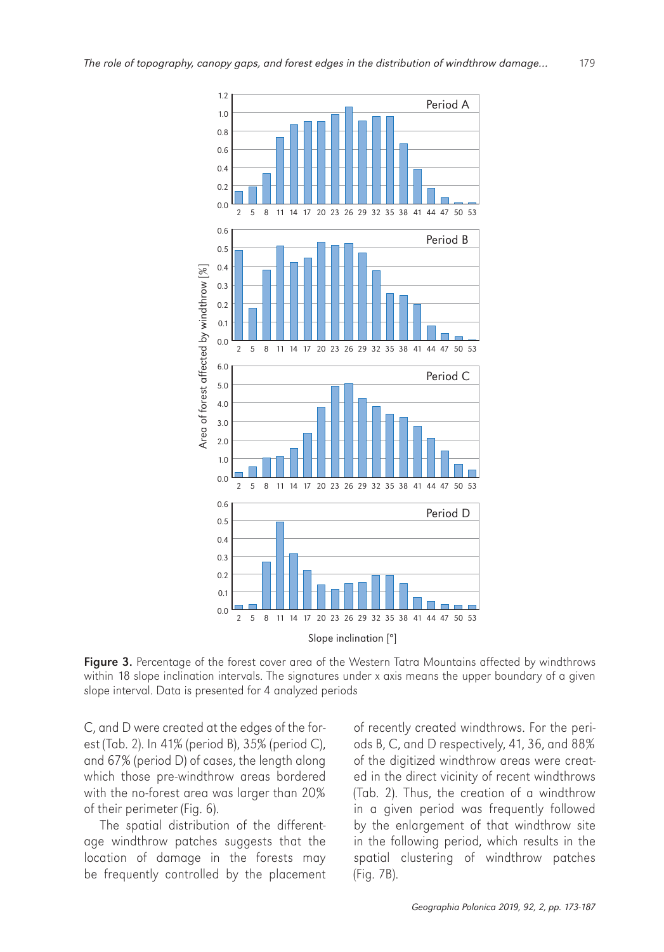

Figure 3. Percentage of the forest cover area of the Western Tatra Mountains affected by windthrows within 18 slope inclination intervals. The signatures under x axis means the upper boundary of a given slope interval. Data is presented for 4 analyzed periods

C, and D were created at the edges of the forest (Tab. 2). In 41% (period B), 35% (period C), and 67% (period D) of cases, the length along which those pre-windthrow areas bordered with the no-forest area was larger than 20% of their perimeter (Fig. 6).

The spatial distribution of the differentage windthrow patches suggests that the location of damage in the forests may be frequently controlled by the placement

of recently created windthrows. For the periods B, C, and D respectively, 41, 36, and 88% of the digitized windthrow areas were created in the direct vicinity of recent windthrows (Tab. 2). Thus, the creation of a windthrow in a given period was frequently followed by the enlargement of that windthrow site in the following period, which results in the spatial clustering of windthrow patches (Fig. 7B).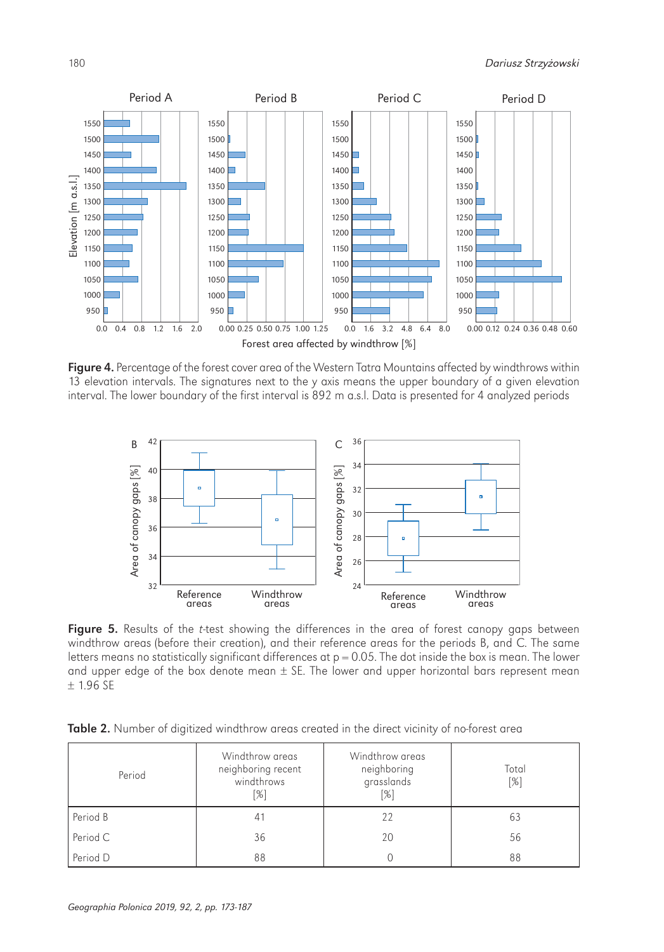

Figure 4. Percentage of the forest cover area of the Western Tatra Mountains affected by windthrows within 13 elevation intervals. The signatures next to the y axis means the upper boundary of a given elevation interval. The lower boundary of the first interval is 892 m a.s.l. Data is presented for 4 analyzed periods



Figure 5. Results of the *t*-test showing the differences in the area of forest canopy gaps between windthrow areas (before their creation), and their reference areas for the periods B, and C. The same letters means no statistically significant differences at  $p = 0.05$ . The dot inside the box is mean. The lower and upper edge of the box denote mean  $\pm$  SE. The lower and upper horizontal bars represent mean ± 1.96 SE

| <b>Table 2.</b> Number of digitized windthrow greas created in the direct vicinity of no-forest grea |  |  |  |
|------------------------------------------------------------------------------------------------------|--|--|--|
|                                                                                                      |  |  |  |

| Period   | Windthrow areas<br>neighboring recent<br>windthrows<br>$[\%]$ | Windthrow areas<br>neighboring<br>grasslands<br>[%] | Total<br>$\lceil\% \rceil$ |
|----------|---------------------------------------------------------------|-----------------------------------------------------|----------------------------|
| Period B | 41                                                            | 22                                                  | 63                         |
| Period C | 36                                                            | 20                                                  | 56                         |
| Period D | 88                                                            |                                                     | 88                         |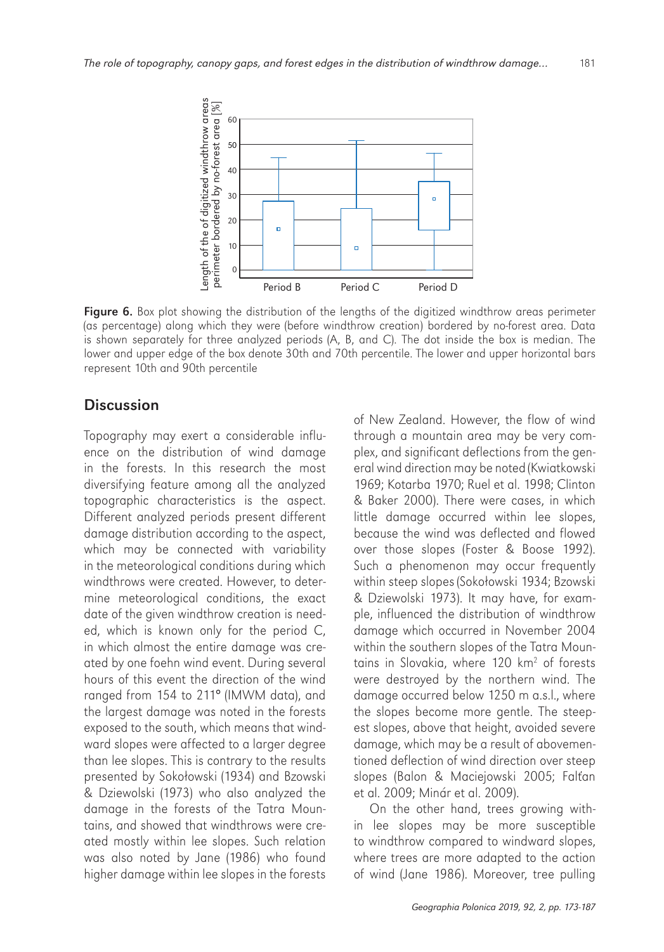

Figure 6. Box plot showing the distribution of the lengths of the digitized windthrow areas perimeter (as percentage) along which they were (before windthrow creation) bordered by no-forest area. Data is shown separately for three analyzed periods (A, B, and C). The dot inside the box is median. The lower and upper edge of the box denote 30th and 70th percentile. The lower and upper horizontal bars represent 10th and 90th percentile

#### **Discussion**

Topography may exert a considerable influence on the distribution of wind damage in the forests. In this research the most diversifying feature among all the analyzed topographic characteristics is the aspect. Different analyzed periods present different damage distribution according to the aspect, which may be connected with variability in the meteorological conditions during which windthrows were created. However, to determine meteorological conditions, the exact date of the given windthrow creation is needed, which is known only for the period C, in which almost the entire damage was created by one foehn wind event. During several hours of this event the direction of the wind ranged from 154 to 211° (IMWM data), and the largest damage was noted in the forests exposed to the south, which means that windward slopes were affected to a larger degree than lee slopes. This is contrary to the results presented by Sokołowski (1934) and Bzowski & Dziewolski (1973) who also analyzed the damage in the forests of the Tatra Mountains, and showed that windthrows were created mostly within lee slopes. Such relation was also noted by Jane (1986) who found higher damage within lee slopes in the forests of New Zealand. However, the flow of wind through a mountain area may be very complex, and significant deflections from the general wind direction may be noted (Kwiatkowski 1969; Kotarba 1970; Ruel et al. 1998; Clinton & Baker 2000). There were cases, in which little damage occurred within lee slopes, because the wind was deflected and flowed over those slopes (Foster & Boose 1992). Such a phenomenon may occur frequently within steep slopes (Sokołowski 1934; Bzowski & Dziewolski 1973). It may have, for example, influenced the distribution of windthrow damage which occurred in November 2004 within the southern slopes of the Tatra Mountains in Slovakia, where 120 km<sup>2</sup> of forests were destroyed by the northern wind. The damage occurred below 1250 m a.s.l., where the slopes become more gentle. The steepest slopes, above that height, avoided severe damage, which may be a result of abovementioned deflection of wind direction over steep slopes (Balon & Maciejowski 2005; Falťan et al. 2009; Minár et al. 2009).

On the other hand, trees growing within lee slopes may be more susceptible to windthrow compared to windward slopes, where trees are more adapted to the action of wind (Jane 1986). Moreover, tree pulling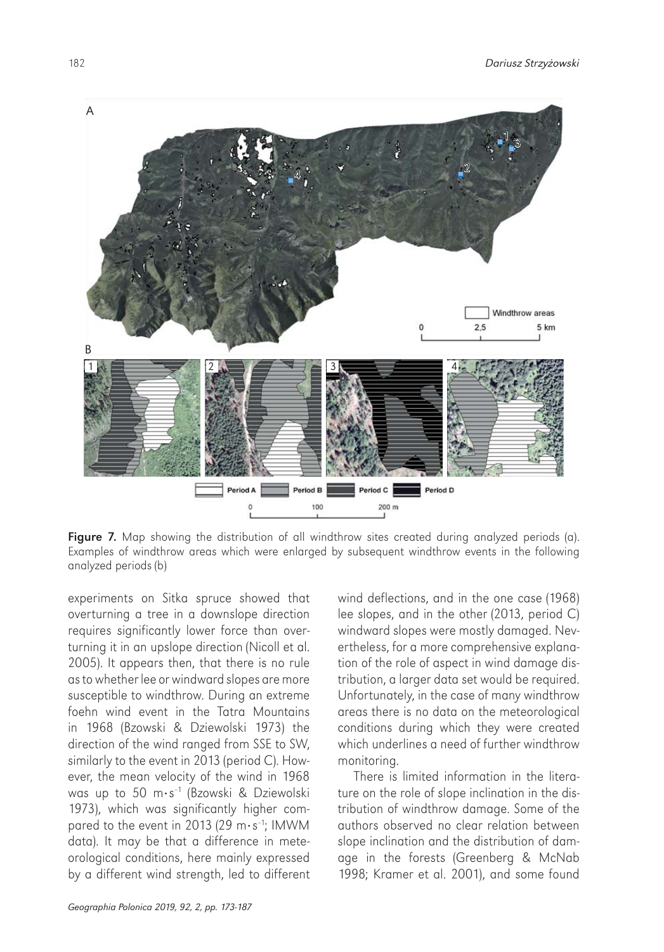

Figure 7. Map showing the distribution of all windthrow sites created during analyzed periods (a). Examples of windthrow areas which were enlarged by subsequent windthrow events in the following analyzed periods (b)

experiments on Sitka spruce showed that overturning a tree in a downslope direction requires significantly lower force than overturning it in an upslope direction (Nicoll et al. 2005). It appears then, that there is no rule as to whether lee or windward slopes are more susceptible to windthrow. During an extreme foehn wind event in the Tatra Mountains in 1968 (Bzowski & Dziewolski 1973) the direction of the wind ranged from SSE to SW, similarly to the event in 2013 (period C). However, the mean velocity of the wind in 1968 was up to 50 m·s–1 (Bzowski & Dziewolski 1973), which was significantly higher compared to the event in 2013 (29  $\text{m·s}^{-1}$ ; IMWM data). It may be that a difference in meteorological conditions, here mainly expressed by a different wind strength, led to different wind deflections, and in the one case (1968) lee slopes, and in the other (2013, period C) windward slopes were mostly damaged. Nevertheless, for a more comprehensive explanation of the role of aspect in wind damage distribution, a larger data set would be required. Unfortunately, in the case of many windthrow areas there is no data on the meteorological conditions during which they were created which underlines a need of further windthrow monitoring.

There is limited information in the literature on the role of slope inclination in the distribution of windthrow damage. Some of the authors observed no clear relation between slope inclination and the distribution of damage in the forests (Greenberg & McNab 1998; Kramer et al. 2001), and some found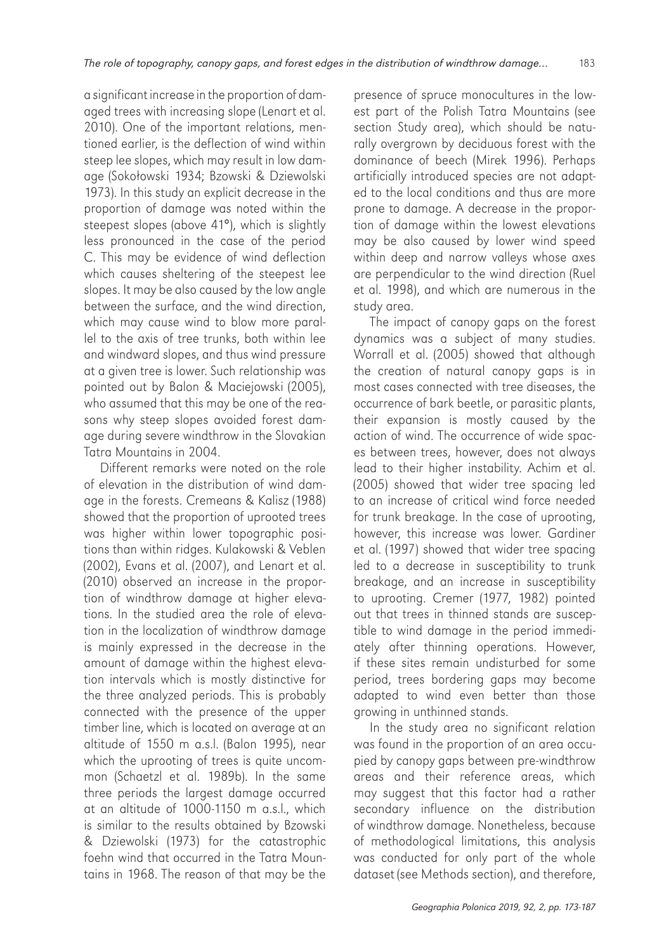a significant increase in the proportion of damaged trees with increasing slope (Lenart et al. 2010). One of the important relations, mentioned earlier, is the deflection of wind within steep lee slopes, which may result in low damage (Sokołowski 1934; Bzowski & Dziewolski 1973). In this study an explicit decrease in the proportion of damage was noted within the steepest slopes (above 41°), which is slightly less pronounced in the case of the period C. This may be evidence of wind deflection which causes sheltering of the steepest lee slopes. It may be also caused by the low angle between the surface, and the wind direction, which may cause wind to blow more parallel to the axis of tree trunks, both within lee and windward slopes, and thus wind pressure at a given tree is lower. Such relationship was pointed out by Balon & Maciejowski (2005), who assumed that this may be one of the reasons why steep slopes avoided forest damage during severe windthrow in the Slovakian Tatra Mountains in 2004.

Different remarks were noted on the role of elevation in the distribution of wind damage in the forests. Cremeans & Kalisz (1988) showed that the proportion of uprooted trees was higher within lower topographic positions than within ridges. Kulakowski & Veblen (2002), Evans et al. (2007), and Lenart et al. (2010) observed an increase in the proportion of windthrow damage at higher elevations. In the studied area the role of elevation in the localization of windthrow damage is mainly expressed in the decrease in the amount of damage within the highest elevation intervals which is mostly distinctive for the three analyzed periods. This is probably connected with the presence of the upper timber line, which is located on average at an altitude of 1550 m a.s.l. (Balon 1995), near which the uprooting of trees is quite uncommon (Schaetzl et al. 1989b). In the same three periods the largest damage occurred at an altitude of 1000-1150 m a.s.l., which is similar to the results obtained by Bzowski & Dziewolski (1973) for the catastrophic foehn wind that occurred in the Tatra Mountains in 1968. The reason of that may be the

presence of spruce monocultures in the lowest part of the Polish Tatra Mountains (see section Study area), which should be naturally overgrown by deciduous forest with the dominance of beech (Mirek 1996). Perhaps artificially introduced species are not adapted to the local conditions and thus are more prone to damage. A decrease in the proportion of damage within the lowest elevations may be also caused by lower wind speed within deep and narrow valleys whose axes are perpendicular to the wind direction (Ruel et al. 1998), and which are numerous in the study area.

The impact of canopy gaps on the forest dynamics was a subject of many studies. Worrall et al. (2005) showed that although the creation of natural canopy gaps is in most cases connected with tree diseases, the occurrence of bark beetle, or parasitic plants, their expansion is mostly caused by the action of wind. The occurrence of wide spaces between trees, however, does not always lead to their higher instability. Achim et al. (2005) showed that wider tree spacing led to an increase of critical wind force needed for trunk breakage. In the case of uprooting, however, this increase was lower. Gardiner et al. (1997) showed that wider tree spacing led to a decrease in susceptibility to trunk breakage, and an increase in susceptibility to uprooting. Cremer (1977, 1982) pointed out that trees in thinned stands are susceptible to wind damage in the period immediately after thinning operations. However, if these sites remain undisturbed for some period, trees bordering gaps may become adapted to wind even better than those growing in unthinned stands.

In the study area no significant relation was found in the proportion of an area occupied by canopy gaps between pre-windthrow areas and their reference areas, which may suggest that this factor had a rather secondary influence on the distribution of windthrow damage. Nonetheless, because of methodological limitations, this analysis was conducted for only part of the whole dataset (see Methods section), and therefore,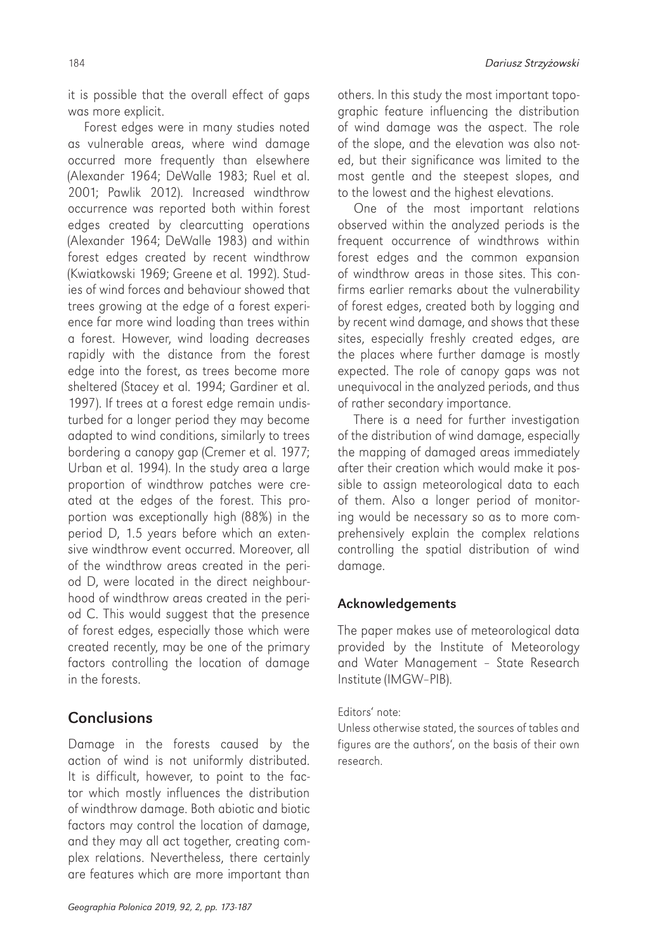it is possible that the overall effect of gaps was more explicit.

Forest edges were in many studies noted as vulnerable areas, where wind damage occurred more frequently than elsewhere (Alexander 1964; DeWalle 1983; Ruel et al. 2001; Pawlik 2012). Increased windthrow occurrence was reported both within forest edges created by clearcutting operations (Alexander 1964; DeWalle 1983) and within forest edges created by recent windthrow (Kwiatkowski 1969; Greene et al. 1992). Studies of wind forces and behaviour showed that trees growing at the edge of a forest experience far more wind loading than trees within a forest. However, wind loading decreases rapidly with the distance from the forest edge into the forest, as trees become more sheltered (Stacey et al. 1994; Gardiner et al. 1997). If trees at a forest edge remain undisturbed for a longer period they may become adapted to wind conditions, similarly to trees bordering a canopy gap (Cremer et al. 1977; Urban et al. 1994). In the study area a large proportion of windthrow patches were created at the edges of the forest. This proportion was exceptionally high (88%) in the period D, 1.5 years before which an extensive windthrow event occurred. Moreover, all of the windthrow areas created in the period D, were located in the direct neighbourhood of windthrow areas created in the period C. This would suggest that the presence of forest edges, especially those which were created recently, may be one of the primary factors controlling the location of damage in the forests.

### **Conclusions**

Damage in the forests caused by the action of wind is not uniformly distributed. It is difficult, however, to point to the factor which mostly influences the distribution of windthrow damage. Both abiotic and biotic factors may control the location of damage, and they may all act together, creating complex relations. Nevertheless, there certainly are features which are more important than

others. In this study the most important topographic feature influencing the distribution of wind damage was the aspect. The role of the slope, and the elevation was also noted, but their significance was limited to the most gentle and the steepest slopes, and to the lowest and the highest elevations.

One of the most important relations observed within the analyzed periods is the frequent occurrence of windthrows within forest edges and the common expansion of windthrow areas in those sites. This confirms earlier remarks about the vulnerability of forest edges, created both by logging and by recent wind damage, and shows that these sites, especially freshly created edges, are the places where further damage is mostly expected. The role of canopy gaps was not unequivocal in the analyzed periods, and thus of rather secondary importance.

There is a need for further investigation of the distribution of wind damage, especially the mapping of damaged areas immediately after their creation which would make it possible to assign meteorological data to each of them. Also a longer period of monitoring would be necessary so as to more comprehensively explain the complex relations controlling the spatial distribution of wind damage.

### Acknowledgements

The paper makes use of meteorological data provided by the Institute of Meteorology and Water Management – State Research Institute (IMGW–PIB).

#### Editors' note:

Unless otherwise stated, the sources of tables and figures are the authors', on the basis of their own research.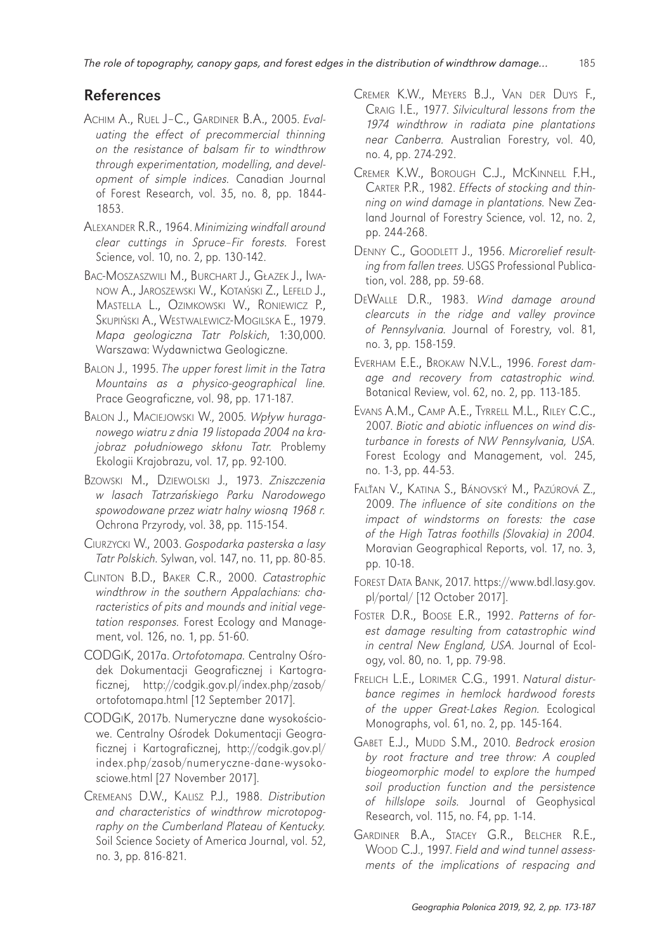### References

- ACHIM A., RUEL J–C., GARDINER B.A., 2005. *Evaluating the effect of precommercial thinning on the resistance of balsam fir to windthrow through experimentation, modelling, and development of simple indices.* Canadian Journal of Forest Research, vol. 35, no. 8, pp. 1844- 1853.
- ALEXANDER R.R., 1964. *Minimizing windfall around clear cuttings in Spruce–Fir forests.* Forest Science, vol. 10, no. 2, pp. 130-142.
- BAC-MOSZASZWILI M., BURCHART J., GŁAZEK J., IWA-NOW A., JAROSZEWSKI W., KOTAŃSKI Z., LEFELD J., MASTELLA L., OZIMKOWSKI W., RONIEWICZ P., SKUPIŃSKI A., WESTWALEWICZ-MOGILSKA E., 1979. *Mapa geologiczna Tatr Polskich*, 1:30,000. Warszawa: Wydawnictwa Geologiczne.
- BALON J., 1995. *The upper forest limit in the Tatra Mountains as a physico-geographical line.* Prace Geograficzne, vol. 98, pp. 171-187.
- BALON J., MACIEJOWSKI W., 2005*. Wp*ł*yw huraganowego wiatru z dnia 19 listopada 2004 na krajobraz po*ł*udniowego sk*ł*onu Tatr.* Problemy Ekologii Krajobrazu, vol. 17, pp. 92-100.
- BZOWSKI M., DZIEWOLSKI J., 1973. *Zniszczenia w lasach Tatrza*ń*skiego Parku Narodowego spowodowane przez wiatr halny wiosn*ą *1968 r.* Ochrona Przyrody, vol. 38, pp. 115-154.
- CIURZYCKI W., 2003. *Gospodarka pasterska a lasy Tatr Polskich.* Sylwan, vol. 147, no. 11, pp. 80-85.
- CLINTON B.D., BAKER C.R., 2000. *Catastrophic windthrow in the southern Appalachians: characteristics of pits and mounds and initial vegetation responses.* Forest Ecology and Management, vol. 126, no. 1, pp. 51-60.
- CODGIK, 2017a. *Ortofotomapa.* Centralny Ośrodek Dokumentacji Geograficznej i Kartograficznej, http://codgik.gov.pl/index.php/zasob/ ortofotomapa.html [12 September 2017].
- CODGIK, 2017b. Numeryczne dane wysokościowe. Centralny Ośrodek Dokumentacji Geograficznej i Kartograficznej, http://codgik.gov.pl/ index.php/zasob/numeryczne-dane-wysokosciowe.html [27 November 2017].
- CREMEANS D.W., KALISZ P.J., 1988. *Distribution and characteristics of windthrow microtopography on the Cumberland Plateau of Kentucky.* Soil Science Society of America Journal, vol. 52, no. 3, pp. 816-821.
- CREMER K.W., MEYERS B.J., VAN DER DUYS F., CRAIG I.E., 1977. *Silvicultural lessons from the 1974 windthrow in radiata pine plantations near Canberra.* Australian Forestry, vol. 40, no. 4, pp. 274-292.
- CREMER K.W., BOROUGH C.J., MCKINNELL F.H., CARTER P.R., 1982. *Effects of stocking and thinning on wind damage in plantations.* New Zealand Journal of Forestry Science, vol. 12, no. 2, pp. 244-268.
- DENNY C., GOODLETT J., 1956. *Microrelief resulting from fallen trees.* USGS Professional Publication, vol. 288, pp. 59-68.
- DEWALLE D.R., 1983. *Wind damage around clearcuts in the ridge and valley province of Pennsylvania.* Journal of Forestry, vol. 81, no. 3, pp. 158-159.
- EVERHAM E.E., BROKAW N.V.L., 1996. *Forest damage and recovery from catastrophic wind.* Botanical Review, vol. 62, no. 2, pp. 113-185.
- EVANS A.M., CAMP A.E., TYRRELL M.L., RILEY C.C., 2007. *Biotic and abiotic influences on wind disturbance in forests of NW Pennsylvania, USA.* Forest Ecology and Management, vol. 245, no. 1-3, pp. 44-53.
- FALŤAN V., KATINA S., BÁNOVSKÝ M., PAZÚROVÁ Z., 2009. *The influence of site conditions on the impact of windstorms on forests: the case of the High Tatras foothills (Slovakia) in 2004.* Moravian Geographical Reports, vol. 17, no. 3, pp. 10-18.
- FOREST DATA BANK, 2017. https://www.bdl.lasy.gov. pl/portal/ [12 October 2017].
- FOSTER D.R., BOOSE E.R., 1992. *Patterns of forest damage resulting from catastrophic wind in central New England, USA.* Journal of Ecology, vol. 80, no. 1, pp. 79-98.
- FRELICH L.E., LORIMER C.G., 1991. *Natural disturbance regimes in hemlock hardwood forests of the upper Great-Lakes Region.* Ecological Monographs, vol. 61, no. 2, pp. 145-164.
- GABET E.J., MUDD S.M., 2010. *Bedrock erosion by root fracture and tree throw: A coupled biogeomorphic model to explore the humped soil production function and the persistence of hillslope soils.* Journal of Geophysical Research, vol. 115, no. F4, pp. 1-14.
- GARDINER B.A., STACEY G.R., BELCHER R.E., WOOD C.J., 1997. *Field and wind tunnel assessments of the implications of respacing and*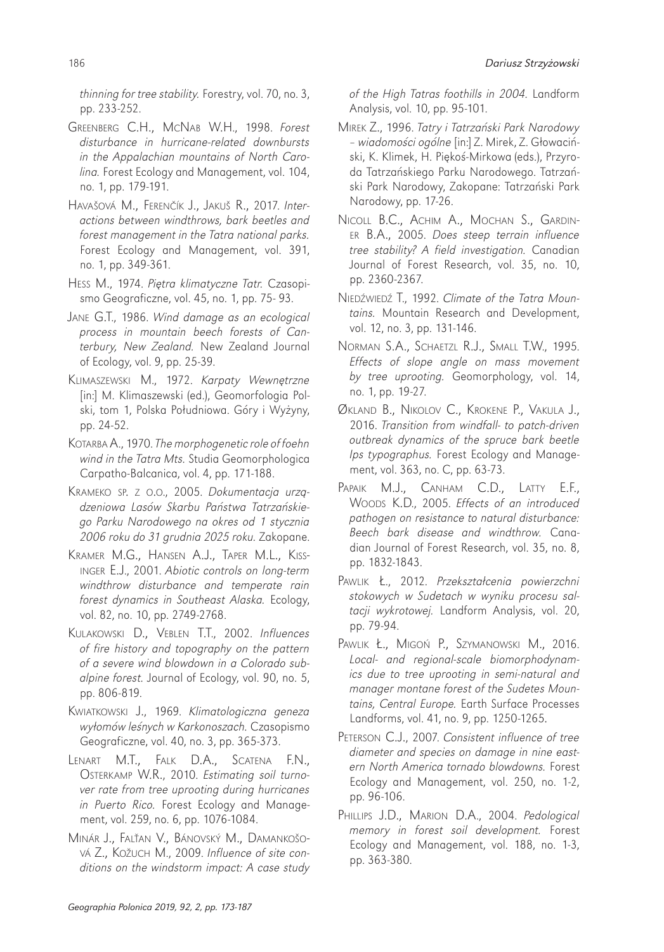*thinning for tree stability.* Forestry, vol. 70, no. 3, pp. 233-252.

- GREENBERG C.H., MCNAB W.H., 1998. *Forest disturbance in hurricane-related downbursts in the Appalachian mountains of North Carolina.* Forest Ecology and Management, vol. 104, no. 1, pp. 179-191.
- HAVAŠOVÁ M., FERENČÍK J., JAKUŠ R., 2017. *Interactions between windthrows, bark beetles and forest management in the Tatra national parks.* Forest Ecology and Management, vol. 391, no. 1, pp. 349-361.
- HESS M., 1974. *Pi*ę*tra klimatyczne Tatr.* Czasopismo Geograficzne, vol. 45, no. 1, pp. 75- 93.
- JANE G.T., 1986. *Wind damage as an ecological process in mountain beech forests of Canterbury, New Zealand.* New Zealand Journal of Ecology, vol. 9, pp. 25-39.
- KLIMASZEWSKI M., 1972. *Karpaty Wewn*ę*trzne* [in:] M. Klimaszewski (ed.), Geomorfologia Polski, tom 1, Polska Południowa. Góry i Wyżyny, pp. 24-52.
- KOTARBA A., 1970. *The morphogenetic role of foehn wind in the Tatra Mts.* Studia Geomorphologica Carpatho-Balcanica, vol. 4, pp. 171-188.
- KRAMEKO SP. Z O.O., 2005. *Dokumentacja urz*ą*dzeniowa Lasów Skarbu Pa*ń*stwa Tatrza*ń*skiego Parku Narodowego na okres od 1 stycznia 2006 roku do 31 grudnia 2025 roku.* Zakopane.
- KRAMER M.G., HANSEN A.J., TAPER M.L., KISS-INGER E.J., 2001. *Abiotic controls on long-term windthrow disturbance and temperate rain forest dynamics in Southeast Alaska.* Ecology, vol. 82, no. 10, pp. 2749-2768.
- KULAKOWSKI D., VEBLEN T.T., 2002. *Influences of fire history and topography on the pattern of a severe wind blowdown in a Colorado subalpine forest.* Journal of Ecology, vol. 90, no. 5, pp. 806-819.
- KWIATKOWSKI J., 1969. *Klimatologiczna geneza wy*ł*omów le*ś*nych w Karkonoszach.* Czasopismo Geograficzne, vol. 40, no. 3, pp. 365-373.
- LENART M.T., FALK D.A., SCATENA F.N., OSTERKAMP W.R., 2010. *Estimating soil turnover rate from tree uprooting during hurricanes in Puerto Rico.* Forest Ecology and Management, vol. 259, no. 6, pp. 1076-1084.
- MINÁR J., FALŤAN V., BÁNOVSKÝ M., DAMANKOŠO-VÁ Z., KOŽUCH M., 2009. *Influence of site conditions on the windstorm impact: A case study*

*of the High Tatras foothills in 2004.* Landform Analysis, vol. 10, pp. 95-101.

- MIREK Z., 1996. *Tatry i Tatrza*ń*ski Park Narodowy – wiadomo*ś*ci ogólne* [in:] Z. Mirek, Z. Głowaciński, K. Klimek, H. Piękoś-Mirkowa (eds.), Przyroda Tatrzańskiego Parku Narodowego. Tatrzański Park Narodowy, Zakopane: Tatrzański Park Narodowy, pp. 17-26.
- NICOLL B.C., ACHIM A., MOCHAN S., GARDIN-ER B.A., 2005. *Does steep terrain influence tree stability? A field investigation.* Canadian Journal of Forest Research, vol. 35, no. 10, pp. 2360-2367.
- NIEDŹWIEDŹ T., 1992. *Climate of the Tatra Mountains.* Mountain Research and Development, vol. 12, no. 3, pp. 131-146.
- NORMAN S.A., SCHAETZL R.J., SMALL T.W., 1995. *Effects of slope angle on mass movement by tree uprooting.* Geomorphology, vol. 14, no. 1, pp. 19-27.
- ØKLAND B., NIKOLOV C., KROKENE P., VAKULA J., 2016. *Transition from windfall- to patch-driven outbreak dynamics of the spruce bark beetle Ips typographus.* Forest Ecology and Management, vol. 363, no. C, pp. 63-73.
- PAPAIK M.J., CANHAM C.D., LATTY E.F., WOODS K.D., 2005. *Effects of an introduced pathogen on resistance to natural disturbance: Beech bark disease and windthrow.* Canadian Journal of Forest Research, vol. 35, no. 8, pp. 1832-1843.
- PAWLIK Ł., 2012. *Przekszta*ł*cenia powierzchni stokowych w Sudetach w wyniku procesu saltacji wykrotowej.* Landform Analysis, vol. 20, pp. 79-94.
- PAWLIK Ł., MIGOŃ P., SZYMANOWSKI M., 2016. *Local- and regional-scale biomorphodynamics due to tree uprooting in semi-natural and manager montane forest of the Sudetes Mountains, Central Europe.* Earth Surface Processes Landforms, vol. 41, no. 9, pp. 1250-1265.
- PETERSON C.J., 2007. *Consistent influence of tree diameter and species on damage in nine eastern North America tornado blowdowns.* Forest Ecology and Management, vol. 250, no. 1-2, pp. 96-106.
- PHILLIPS J.D., MARION D.A., 2004. *Pedological memory in forest soil development.* Forest Ecology and Management, vol. 188, no. 1-3, pp. 363-380.